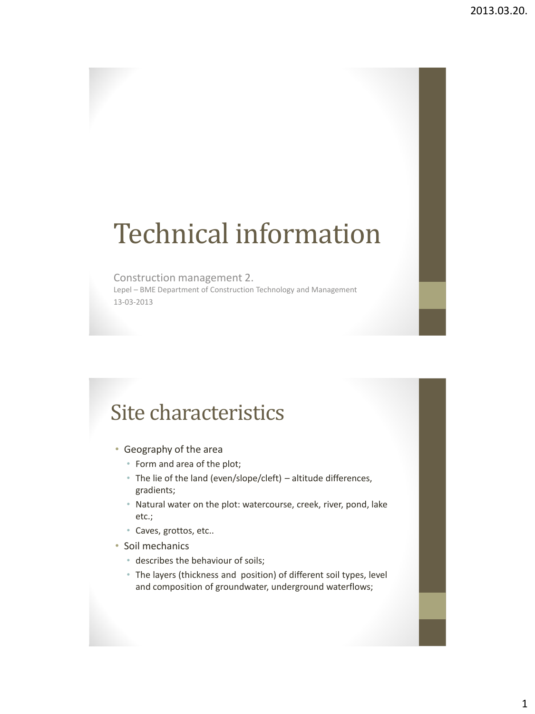# Technical information

#### Construction management 2.

Lepel – BME Department of Construction Technology and Management 13-03-2013

### Site characteristics

- Geography of the area
	- Form and area of the plot;
	- The lie of the land (even/slope/cleft) altitude differences, gradients;
	- Natural water on the plot: watercourse, creek, river, pond, lake etc.;
	- Caves, grottos, etc..
- Soil mechanics
	- describes the behaviour of soils;
	- The layers (thickness and position) of different soil types, level and composition of groundwater, underground waterflows;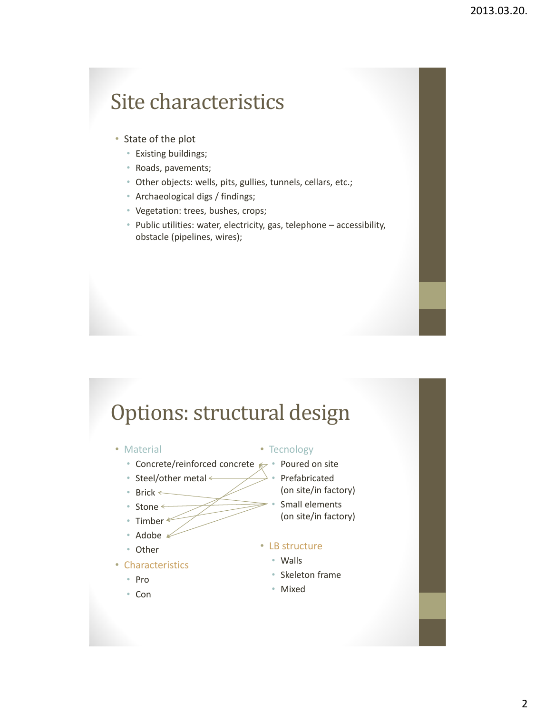#### Site characteristics

- State of the plot
	- Existing buildings;
	- Roads, pavements;
	- Other objects: wells, pits, gullies, tunnels, cellars, etc.;
	- Archaeological digs / findings;
	- Vegetation: trees, bushes, crops;
	- Public utilities: water, electricity, gas, telephone accessibility, obstacle (pipelines, wires);

#### Options: structural design

- Material
	- Concrete/reinforced concrete  $\epsilon$  Poured on site
	- Steel/other metal  $\leftarrow$
	- Brick ←
	- Stone  $\leftarrow$
	- Timber  $*$
	- Adobe #
	- Other
- Characteristics
	- Pro
	- Con
- Tecnology
	-
	- **Prefabricated**
	- (on site/in factory)
	- Small elements (on site/in factory)
- LB structure
	- Walls
	- Skeleton frame
	- Mixed